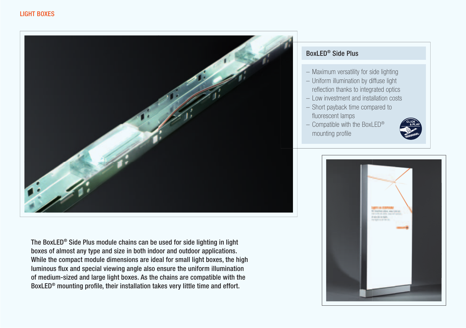

The BoxLED® Side Plus module chains can be used for side lighting in light boxes of almost any type and size in both indoor and outdoor applications. While the compact module dimensions are ideal for small light boxes, the high luminous flux and special viewing angle also ensure the uniform illumination of medium-sized and large light boxes. As the chains are compatible with the BoxLED<sup>®</sup> mounting profile, their installation takes very little time and effort.

## BoxLED® Side Plus

- Maximum versatility for side lighting
- Uniform illumination by diffuse light reflection thanks to integrated optics
- Low investment and installation costs
- Short payback time compared to fluorescent lamps
- $-$  Compatible with the BoxLED® mounting profile